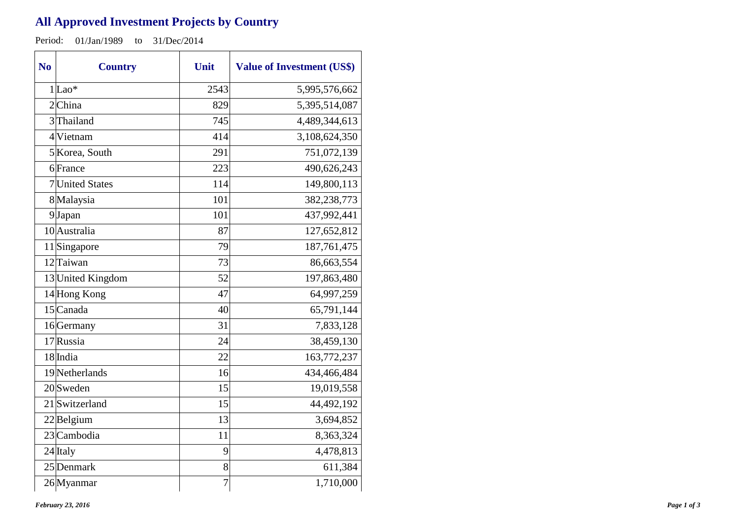## **All Approved Investment Projects by Country**

Period: 01/Jan/1989 to 31/Dec/2014

| N <sub>o</sub> | <b>Country</b>    | Unit | <b>Value of Investment (US\$)</b> |
|----------------|-------------------|------|-----------------------------------|
|                | $1$ Lao*          | 2543 | 5,995,576,662                     |
|                | $2$ China         | 829  | 5,395,514,087                     |
|                | 3 Thailand        | 745  | 4,489,344,613                     |
|                | 4 Vietnam         | 414  | 3,108,624,350                     |
|                | 5 Korea, South    | 291  | 751,072,139                       |
|                | 6 France          | 223  | 490,626,243                       |
|                | 7 United States   | 114  | 149,800,113                       |
|                | 8 Malaysia        | 101  | 382,238,773                       |
|                | 9Japan            | 101  | 437,992,441                       |
|                | 10 Australia      | 87   | 127,652,812                       |
|                | 11 Singapore      | 79   | 187,761,475                       |
|                | 12 Taiwan         | 73   | 86,663,554                        |
|                | 13 United Kingdom | 52   | 197,863,480                       |
|                | 14 Hong Kong      | 47   | 64,997,259                        |
|                | 15 Canada         | 40   | 65,791,144                        |
|                | 16 Germany        | 31   | 7,833,128                         |
|                | 17 Russia         | 24   | 38,459,130                        |
|                | 18 India          | 22   | 163,772,237                       |
|                | 19 Netherlands    | 16   | 434,466,484                       |
|                | $20$ Sweden       | 15   | 19,019,558                        |
|                | 21 Switzerland    | 15   | 44,492,192                        |
|                | $22$ Belgium      | 13   | 3,694,852                         |
|                | 23 Cambodia       | 11   | 8,363,324                         |
|                | 24 Italy          | 9    | 4,478,813                         |
|                | 25 Denmark        | 8    | 611,384                           |
|                | 26 Myanmar        | 7    | 1,710,000                         |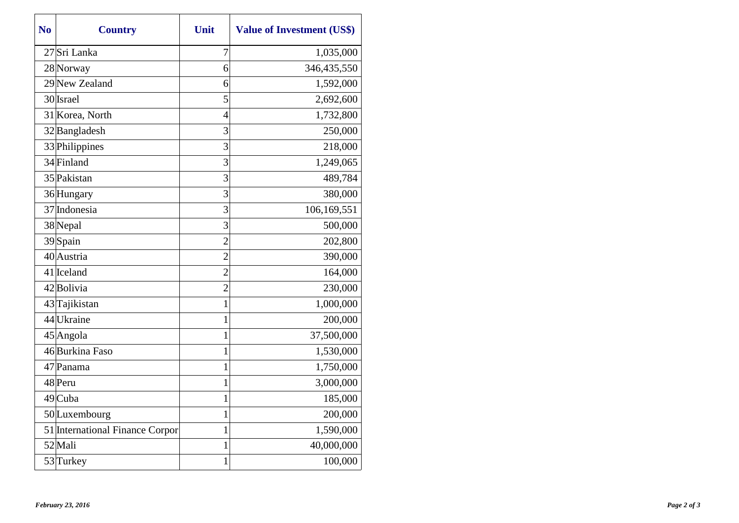| N <sub>0</sub> | <b>Country</b>                  | Unit           | <b>Value of Investment (US\$)</b> |
|----------------|---------------------------------|----------------|-----------------------------------|
|                | 27 Sri Lanka                    | 7              | 1,035,000                         |
|                | 28 Norway                       | 6              | 346,435,550                       |
|                | 29 New Zealand                  | 6              | 1,592,000                         |
|                | 30 Israel                       | 5              | 2,692,600                         |
|                | 31 Korea, North                 | $\overline{4}$ | 1,732,800                         |
|                | 32 Bangladesh                   | 3              | 250,000                           |
|                | 33 Philippines                  | 3              | 218,000                           |
|                | 34 Finland                      | 3              | 1,249,065                         |
|                | 35 Pakistan                     | 3              | 489,784                           |
|                | 36 Hungary                      | 3              | 380,000                           |
|                | 37 Indonesia                    | 3              | 106,169,551                       |
|                | 38 Nepal                        | 3              | 500,000                           |
|                | 39 Spain                        | $\overline{2}$ | 202,800                           |
|                | 40 Austria                      | $\overline{2}$ | 390,000                           |
|                | 41 Iceland                      | $\overline{2}$ | 164,000                           |
|                | 42 Bolivia                      | $\overline{c}$ | 230,000                           |
|                | 43 Tajikistan                   | 1              | 1,000,000                         |
|                | 44 Ukraine                      | 1              | 200,000                           |
|                | $45$ Angola                     | 1              | 37,500,000                        |
|                | 46Burkina Faso                  | 1              | 1,530,000                         |
|                | 47 Panama                       | $\mathbf 1$    | 1,750,000                         |
|                | 48 Peru                         | 1              | 3,000,000                         |
|                | 49 Cuba                         | 1              | 185,000                           |
|                | 50 Luxembourg                   | $\mathbf{1}$   | 200,000                           |
|                | 51 International Finance Corpor | 1              | 1,590,000                         |
|                | 52 Mali                         | $\mathbf 1$    | 40,000,000                        |
|                | 53Turkey                        | 1              | 100,000                           |